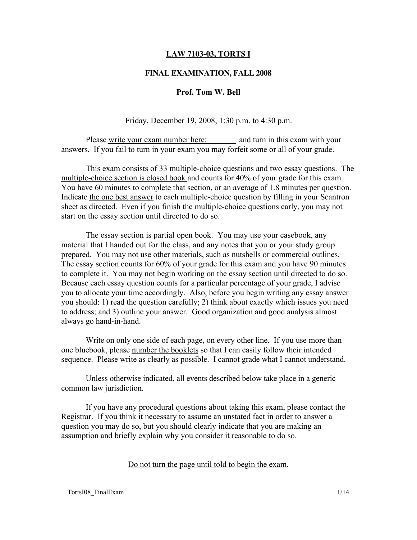### LAW 7103-03, TORTS I

#### FINAL EXAMINATION, FALL 2008

#### Prof. Tom W. Bell

Friday, December 19, 2008, 1:30 p.m. to 4:30 p.m.

Please write your exam number here: and turn in this exam with your answers. If you fail to turn in your exam you may forfeit some or all of your grade.

This exam consists of 33 multiple-choice questions and two essay questions. The multiple-choice section is closed book and counts for 40% of your grade for this exam. You have 60 minutes to complete that section, or an average of 1.8 minutes per question. Indicate the one best answer to each multiple-choice question by filling in your Scantron sheet as directed. Even if you finish the multiple-choice questions early, you may not start on the essay section until directed to do so.

The essay section is partial open book. You may use your casebook, any material that I handed out for the class, and any notes that you or your study group prepared. You may not use other materials, such as nutshells or commercial outlines. The essay section counts for 60% of your grade for this exam and you have 90 minutes to complete it. You may not begin working on the essay section until directed to do so. Because each essay question counts for a particular percentage of your grade, I advise you to allocate your time accordingly. Also, before you begin writing any essay answer you should: 1) read the question carefully; 2) think about exactly which issues you need to address; and 3) outline your answer. Good organization and good analysis almost always go hand-in-hand.

Write on only one side of each page, on every other line. If you use more than one bluebook, please number the booklets so that I can easily follow their intended sequence. Please write as clearly as possible. I cannot grade what I cannot understand.

Unless otherwise indicated, all events described below take place in a generic common law jurisdiction.

If you have any procedural questions about taking this exam, please contact the Registrar. If you think it necessary to assume an unstated fact in order to answer a question you may do so, but you should clearly indicate that you are making an assumption and briefly explain why you consider it reasonable to do so.

#### Do not turn the page until told to begin the exam.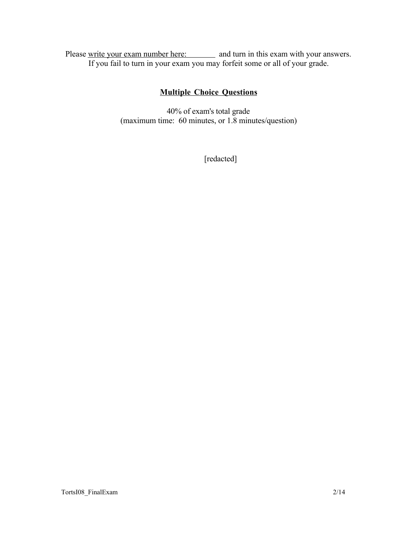Please write your exam number here: and turn in this exam with your answers. If you fail to turn in your exam you may forfeit some or all of your grade.

# Multiple Choice Questions

40% of exam's total grade (maximum time: 60 minutes, or 1.8 minutes/question)

[redacted]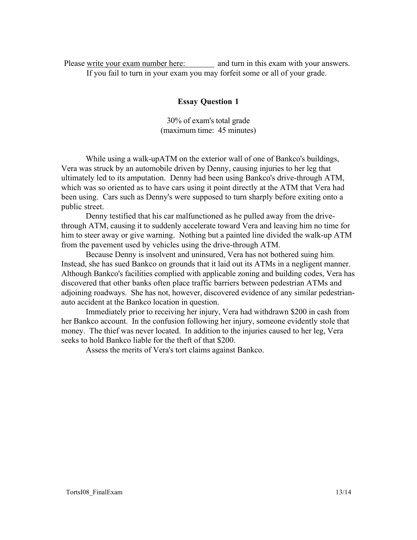Please write your exam number here: and turn in this exam with your answers. If you fail to turn in your exam you may forfeit some or all of your grade.

## Essay Question 1

30% of exam's total grade (maximum time: 45 minutes)

While using a walk-upATM on the exterior wall of one of Bankco's buildings, Vera was struck by an automobile driven by Denny, causing injuries to her leg that ultimately led to its amputation. Denny had been using Bankco's drive-through ATM, which was so oriented as to have cars using it point directly at the ATM that Vera had been using. Cars such as Denny's were supposed to turn sharply before exiting onto a public street.

Denny testified that his car malfunctioned as he pulled away from the drivethrough ATM, causing it to suddenly accelerate toward Vera and leaving him no time for him to steer away or give warning. Nothing but a painted line divided the walk-up ATM from the pavement used by vehicles using the drive-through ATM.

Because Denny is insolvent and uninsured, Vera has not bothered suing him. Instead, she has sued Bankco on grounds that it laid out its ATMs in a negligent manner. Although Bankco's facilities complied with applicable zoning and building codes, Vera has discovered that other banks often place traffic barriers between pedestrian ATMs and adjoining roadways. She has not, however, discovered evidence of any similar pedestrianauto accident at the Bankco location in question.

Immediately prior to receiving her injury, Vera had withdrawn \$200 in cash from her Bankco account. In the confusion following her injury, someone evidently stole that money. The thief was never located. In addition to the injuries caused to her leg, Vera seeks to hold Bankco liable for the theft of that \$200.

Assess the merits of Vera's tort claims against Bankco.